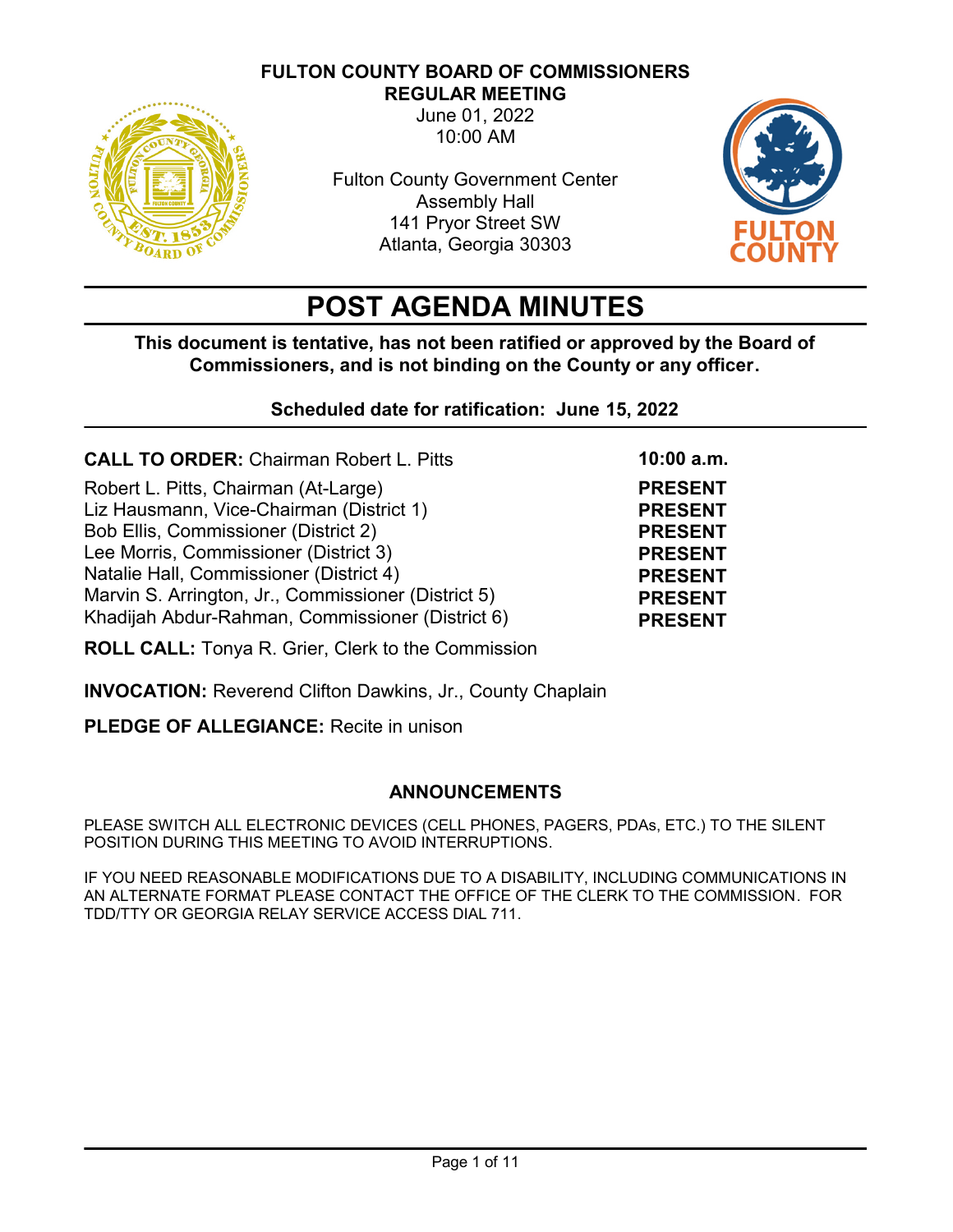# **FULTON COUNTY BOARD OF COMMISSIONERS**



**REGULAR MEETING** June 01, 2022 10:00 AM

Fulton County Government Center Assembly Hall 141 Pryor Street SW Atlanta, Georgia 30303



**PRESENT PRESENT PRESENT PRESENT PRESENT PRESENT PRESENT**

**10:00 a.m.**

# **POST AGENDA MINUTES**

**This document is tentative, has not been ratified or approved by the Board of Commissioners, and is not binding on the County or any officer.** 

**Scheduled date for ratification: June 15, 2022**

**CALL TO ORDER:** Chairman Robert L. Pitts

Robert L. Pitts, Chairman (At-Large) Liz Hausmann, Vice-Chairman (District 1) Bob Ellis, Commissioner (District 2) Lee Morris, Commissioner (District 3) Natalie Hall, Commissioner (District 4) Marvin S. Arrington, Jr., Commissioner (District 5) Khadijah Abdur-Rahman, Commissioner (District 6)

**ROLL CALL:** Tonya R. Grier, Clerk to the Commission

**INVOCATION:** Reverend Clifton Dawkins, Jr., County Chaplain

**PLEDGE OF ALLEGIANCE:** Recite in unison

# **ANNOUNCEMENTS**

PLEASE SWITCH ALL ELECTRONIC DEVICES (CELL PHONES, PAGERS, PDAs, ETC.) TO THE SILENT POSITION DURING THIS MEETING TO AVOID INTERRUPTIONS.

IF YOU NEED REASONABLE MODIFICATIONS DUE TO A DISABILITY, INCLUDING COMMUNICATIONS IN AN ALTERNATE FORMAT PLEASE CONTACT THE OFFICE OF THE CLERK TO THE COMMISSION. FOR TDD/TTY OR GEORGIA RELAY SERVICE ACCESS DIAL 711.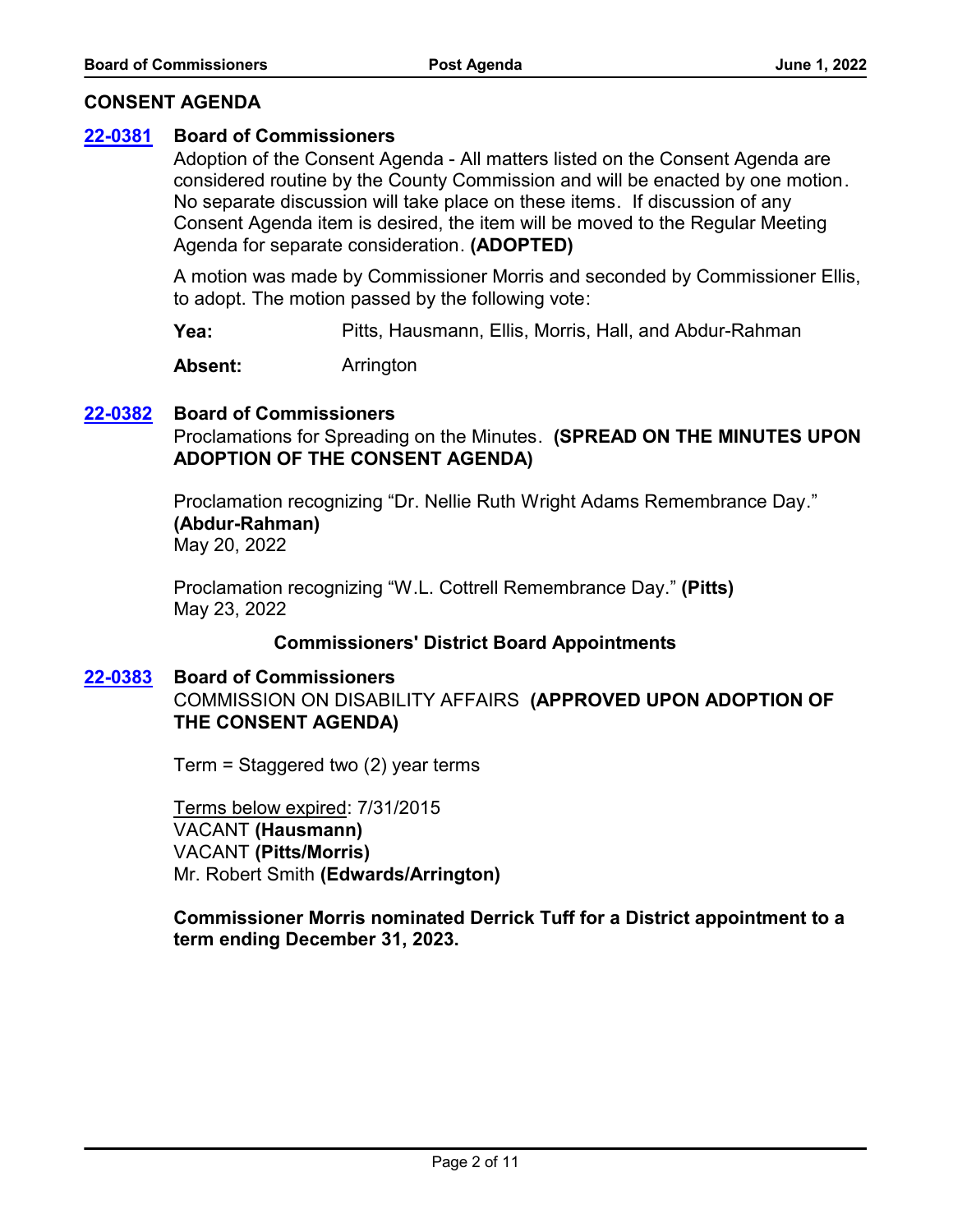## **CONSENT AGENDA**

#### **[22-0381](http://fulton.legistar.com/gateway.aspx?m=l&id=/matter.aspx?key=10879) Board of Commissioners**

Adoption of the Consent Agenda - All matters listed on the Consent Agenda are considered routine by the County Commission and will be enacted by one motion. No separate discussion will take place on these items. If discussion of any Consent Agenda item is desired, the item will be moved to the Regular Meeting Agenda for separate consideration. **(ADOPTED)**

A motion was made by Commissioner Morris and seconded by Commissioner Ellis, to adopt. The motion passed by the following vote:

**Yea:** Pitts, Hausmann, Ellis, Morris, Hall, and Abdur-Rahman

**Absent:** Arrington

# **[22-0382](http://fulton.legistar.com/gateway.aspx?m=l&id=/matter.aspx?key=10880) Board of Commissioners**

Proclamations for Spreading on the Minutes. **(SPREAD ON THE MINUTES UPON ADOPTION OF THE CONSENT AGENDA)**

Proclamation recognizing "Dr. Nellie Ruth Wright Adams Remembrance Day." **(Abdur-Rahman)** May 20, 2022

Proclamation recognizing "W.L. Cottrell Remembrance Day." **(Pitts)** May 23, 2022

# **Commissioners' District Board Appointments**

#### **[22-0383](http://fulton.legistar.com/gateway.aspx?m=l&id=/matter.aspx?key=10881) Board of Commissioners**

COMMISSION ON DISABILITY AFFAIRS **(APPROVED UPON ADOPTION OF THE CONSENT AGENDA)**

Term = Staggered two (2) year terms

Terms below expired: 7/31/2015 VACANT **(Hausmann)** VACANT **(Pitts/Morris)** Mr. Robert Smith **(Edwards/Arrington)**

**Commissioner Morris nominated Derrick Tuff for a District appointment to a term ending December 31, 2023.**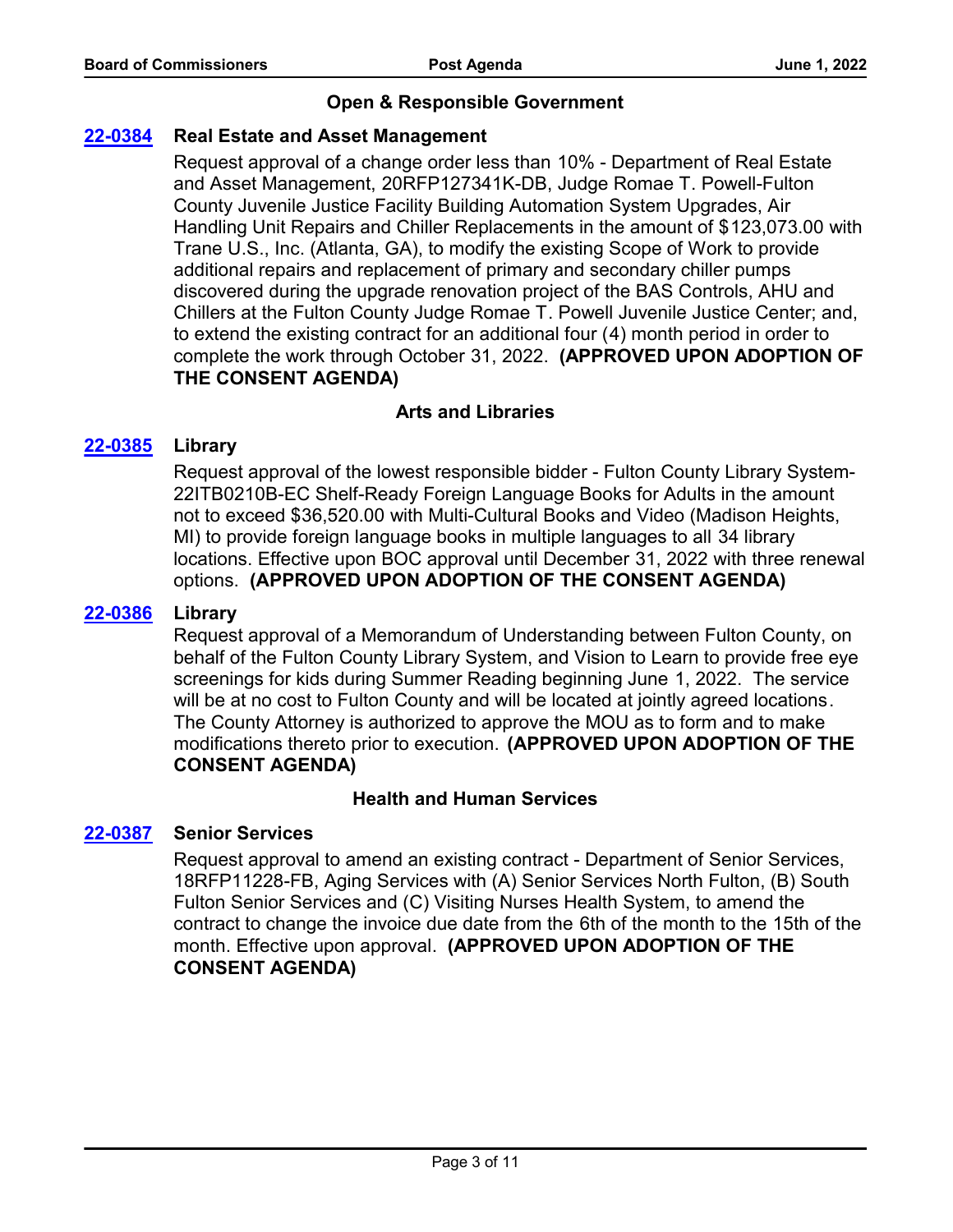# **Open & Responsible Government**

# **[22-0384](http://fulton.legistar.com/gateway.aspx?m=l&id=/matter.aspx?key=10766) Real Estate and Asset Management**

Request approval of a change order less than 10% - Department of Real Estate and Asset Management, 20RFP127341K-DB, Judge Romae T. Powell-Fulton County Juvenile Justice Facility Building Automation System Upgrades, Air Handling Unit Repairs and Chiller Replacements in the amount of \$123,073.00 with Trane U.S., Inc. (Atlanta, GA), to modify the existing Scope of Work to provide additional repairs and replacement of primary and secondary chiller pumps discovered during the upgrade renovation project of the BAS Controls, AHU and Chillers at the Fulton County Judge Romae T. Powell Juvenile Justice Center; and, to extend the existing contract for an additional four (4) month period in order to complete the work through October 31, 2022. **(APPROVED UPON ADOPTION OF THE CONSENT AGENDA)**

# **Arts and Libraries**

# **[22-0385](http://fulton.legistar.com/gateway.aspx?m=l&id=/matter.aspx?key=10736) Library**

Request approval of the lowest responsible bidder - Fulton County Library System-22ITB0210B-EC Shelf-Ready Foreign Language Books for Adults in the amount not to exceed \$36,520.00 with Multi-Cultural Books and Video (Madison Heights, MI) to provide foreign language books in multiple languages to all 34 library locations. Effective upon BOC approval until December 31, 2022 with three renewal options. **(APPROVED UPON ADOPTION OF THE CONSENT AGENDA)**

# **[22-0386](http://fulton.legistar.com/gateway.aspx?m=l&id=/matter.aspx?key=10869) Library**

Request approval of a Memorandum of Understanding between Fulton County, on behalf of the Fulton County Library System, and Vision to Learn to provide free eye screenings for kids during Summer Reading beginning June 1, 2022. The service will be at no cost to Fulton County and will be located at jointly agreed locations. The County Attorney is authorized to approve the MOU as to form and to make modifications thereto prior to execution. **(APPROVED UPON ADOPTION OF THE CONSENT AGENDA)**

# **Health and Human Services**

# **[22-0387](http://fulton.legistar.com/gateway.aspx?m=l&id=/matter.aspx?key=10651) Senior Services**

Request approval to amend an existing contract - Department of Senior Services, 18RFP11228-FB, Aging Services with (A) Senior Services North Fulton, (B) South Fulton Senior Services and (C) Visiting Nurses Health System, to amend the contract to change the invoice due date from the 6th of the month to the 15th of the month. Effective upon approval. **(APPROVED UPON ADOPTION OF THE CONSENT AGENDA)**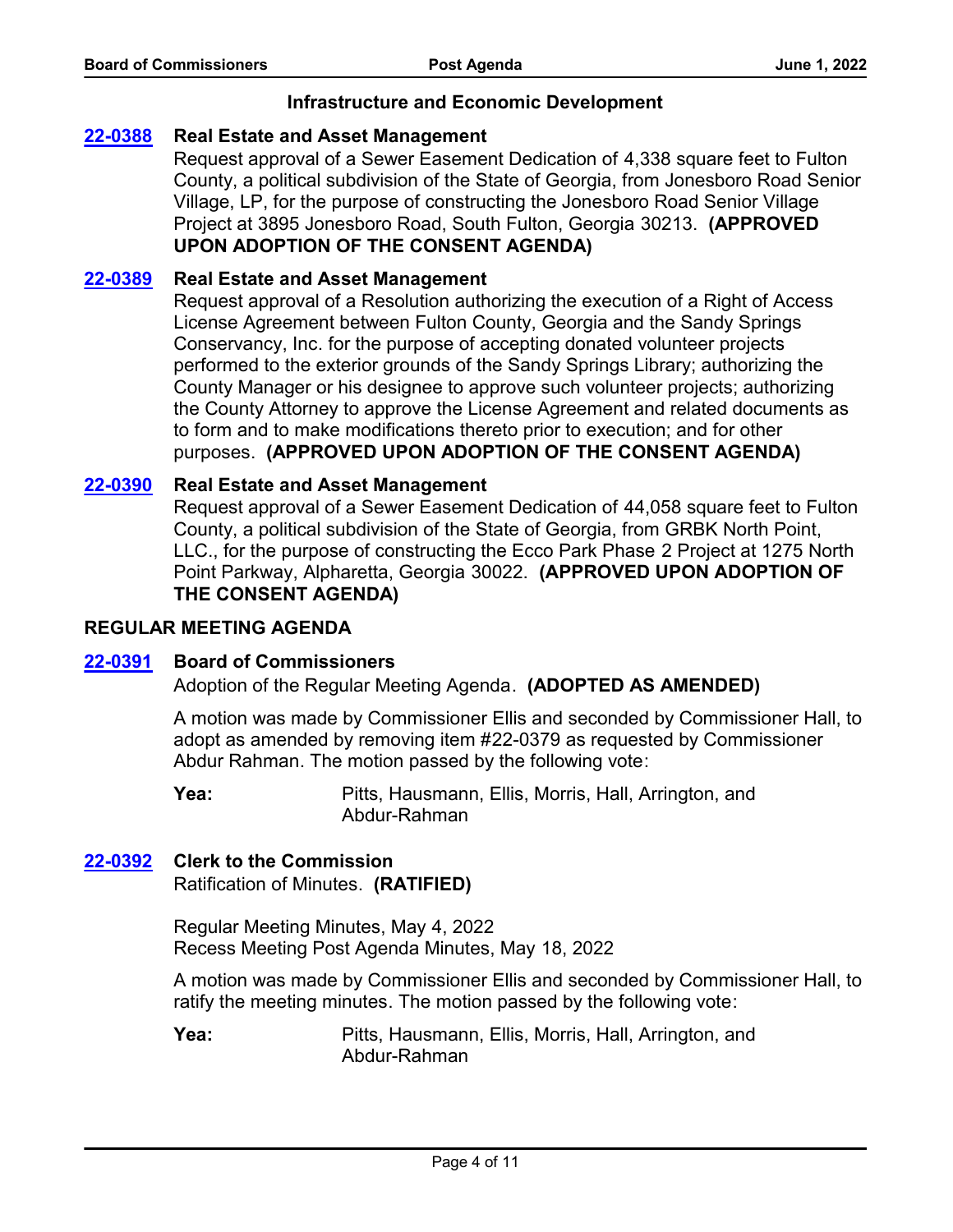## **Infrastructure and Economic Development**

## **[22-0388](http://fulton.legistar.com/gateway.aspx?m=l&id=/matter.aspx?key=10801) Real Estate and Asset Management**

Request approval of a Sewer Easement Dedication of 4,338 square feet to Fulton County, a political subdivision of the State of Georgia, from Jonesboro Road Senior Village, LP, for the purpose of constructing the Jonesboro Road Senior Village Project at 3895 Jonesboro Road, South Fulton, Georgia 30213. **(APPROVED UPON ADOPTION OF THE CONSENT AGENDA)**

## **[22-0389](http://fulton.legistar.com/gateway.aspx?m=l&id=/matter.aspx?key=10874) Real Estate and Asset Management**

Request approval of a Resolution authorizing the execution of a Right of Access License Agreement between Fulton County, Georgia and the Sandy Springs Conservancy, Inc. for the purpose of accepting donated volunteer projects performed to the exterior grounds of the Sandy Springs Library; authorizing the County Manager or his designee to approve such volunteer projects; authorizing the County Attorney to approve the License Agreement and related documents as to form and to make modifications thereto prior to execution; and for other purposes. **(APPROVED UPON ADOPTION OF THE CONSENT AGENDA)**

#### **[22-0390](http://fulton.legistar.com/gateway.aspx?m=l&id=/matter.aspx?key=10878) Real Estate and Asset Management**

Request approval of a Sewer Easement Dedication of 44,058 square feet to Fulton County, a political subdivision of the State of Georgia, from GRBK North Point, LLC., for the purpose of constructing the Ecco Park Phase 2 Project at 1275 North Point Parkway, Alpharetta, Georgia 30022. **(APPROVED UPON ADOPTION OF THE CONSENT AGENDA)**

#### **REGULAR MEETING AGENDA**

# **[22-0391](http://fulton.legistar.com/gateway.aspx?m=l&id=/matter.aspx?key=10882) Board of Commissioners**

Adoption of the Regular Meeting Agenda. **(ADOPTED AS AMENDED)**

A motion was made by Commissioner Ellis and seconded by Commissioner Hall, to adopt as amended by removing item #22-0379 as requested by Commissioner Abdur Rahman. The motion passed by the following vote:

Pitts, Hausmann, Ellis, Morris, Hall, Arrington, and Abdur-Rahman **Yea:**

#### **[22-0392](http://fulton.legistar.com/gateway.aspx?m=l&id=/matter.aspx?key=10883) Clerk to the Commission**

Ratification of Minutes. **(RATIFIED)**

Regular Meeting Minutes, May 4, 2022 Recess Meeting Post Agenda Minutes, May 18, 2022

A motion was made by Commissioner Ellis and seconded by Commissioner Hall, to ratify the meeting minutes. The motion passed by the following vote: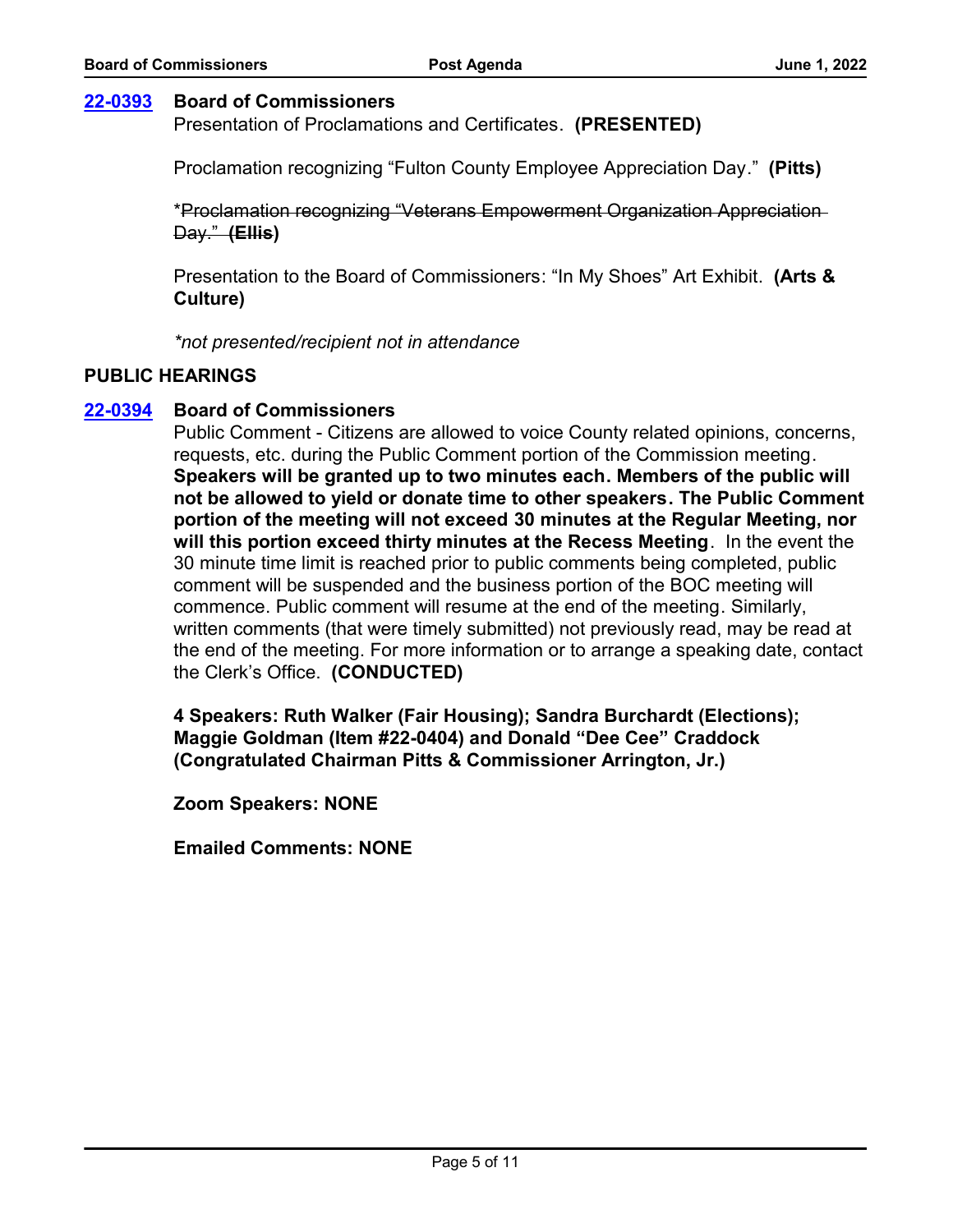# **[22-0393](http://fulton.legistar.com/gateway.aspx?m=l&id=/matter.aspx?key=10884) Board of Commissioners**

Presentation of Proclamations and Certificates. **(PRESENTED)**

Proclamation recognizing "Fulton County Employee Appreciation Day." **(Pitts)**

\*Proclamation recognizing "Veterans Empowerment Organization Appreciation Day." **(Ellis)**

Presentation to the Board of Commissioners: "In My Shoes" Art Exhibit. **(Arts & Culture)**

*\*not presented/recipient not in attendance*

## **PUBLIC HEARINGS**

# **[22-0394](http://fulton.legistar.com/gateway.aspx?m=l&id=/matter.aspx?key=10885) Board of Commissioners**

Public Comment - Citizens are allowed to voice County related opinions, concerns, requests, etc. during the Public Comment portion of the Commission meeting. **Speakers will be granted up to two minutes each. Members of the public will not be allowed to yield or donate time to other speakers. The Public Comment portion of the meeting will not exceed 30 minutes at the Regular Meeting, nor will this portion exceed thirty minutes at the Recess Meeting**. In the event the 30 minute time limit is reached prior to public comments being completed, public comment will be suspended and the business portion of the BOC meeting will commence. Public comment will resume at the end of the meeting. Similarly, written comments (that were timely submitted) not previously read, may be read at the end of the meeting. For more information or to arrange a speaking date, contact the Clerk's Office. **(CONDUCTED)**

**4 Speakers: Ruth Walker (Fair Housing); Sandra Burchardt (Elections); Maggie Goldman (Item #22-0404) and Donald "Dee Cee" Craddock (Congratulated Chairman Pitts & Commissioner Arrington, Jr.)**

**Zoom Speakers: NONE**

**Emailed Comments: NONE**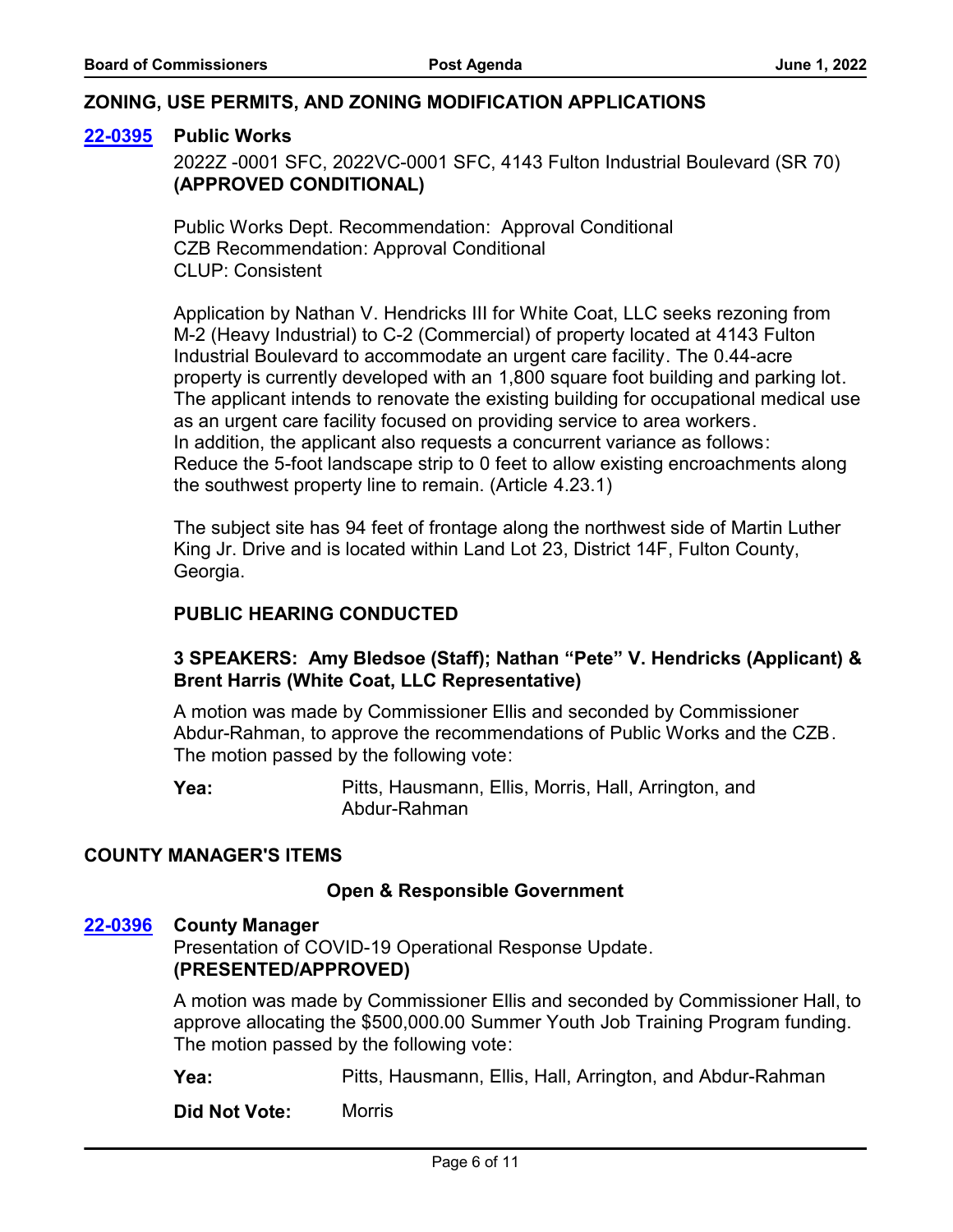## **ZONING, USE PERMITS, AND ZONING MODIFICATION APPLICATIONS**

#### **[22-0395](http://fulton.legistar.com/gateway.aspx?m=l&id=/matter.aspx?key=10867) Public Works**

2022Z -0001 SFC, 2022VC-0001 SFC, 4143 Fulton Industrial Boulevard (SR 70) **(APPROVED CONDITIONAL)**

Public Works Dept. Recommendation: Approval Conditional CZB Recommendation: Approval Conditional CLUP: Consistent

Application by Nathan V. Hendricks III for White Coat, LLC seeks rezoning from M-2 (Heavy Industrial) to C-2 (Commercial) of property located at 4143 Fulton Industrial Boulevard to accommodate an urgent care facility. The 0.44-acre property is currently developed with an 1,800 square foot building and parking lot. The applicant intends to renovate the existing building for occupational medical use as an urgent care facility focused on providing service to area workers. In addition, the applicant also requests a concurrent variance as follows: Reduce the 5-foot landscape strip to 0 feet to allow existing encroachments along the southwest property line to remain. (Article 4.23.1)

The subject site has 94 feet of frontage along the northwest side of Martin Luther King Jr. Drive and is located within Land Lot 23, District 14F, Fulton County, Georgia.

## **PUBLIC HEARING CONDUCTED**

# **3 SPEAKERS: Amy Bledsoe (Staff); Nathan "Pete" V. Hendricks (Applicant) & Brent Harris (White Coat, LLC Representative)**

A motion was made by Commissioner Ellis and seconded by Commissioner Abdur-Rahman, to approve the recommendations of Public Works and the CZB. The motion passed by the following vote:

Pitts, Hausmann, Ellis, Morris, Hall, Arrington, and Abdur-Rahman **Yea:**

#### **COUNTY MANAGER'S ITEMS**

#### **Open & Responsible Government**

#### **[22-0396](http://fulton.legistar.com/gateway.aspx?m=l&id=/matter.aspx?key=10740) County Manager**

Presentation of COVID-19 Operational Response Update. **(PRESENTED/APPROVED)**

A motion was made by Commissioner Ellis and seconded by Commissioner Hall, to approve allocating the \$500,000.00 Summer Youth Job Training Program funding. The motion passed by the following vote:

**Yea:** Pitts, Hausmann, Ellis, Hall, Arrington, and Abdur-Rahman

**Did Not Vote:** Morris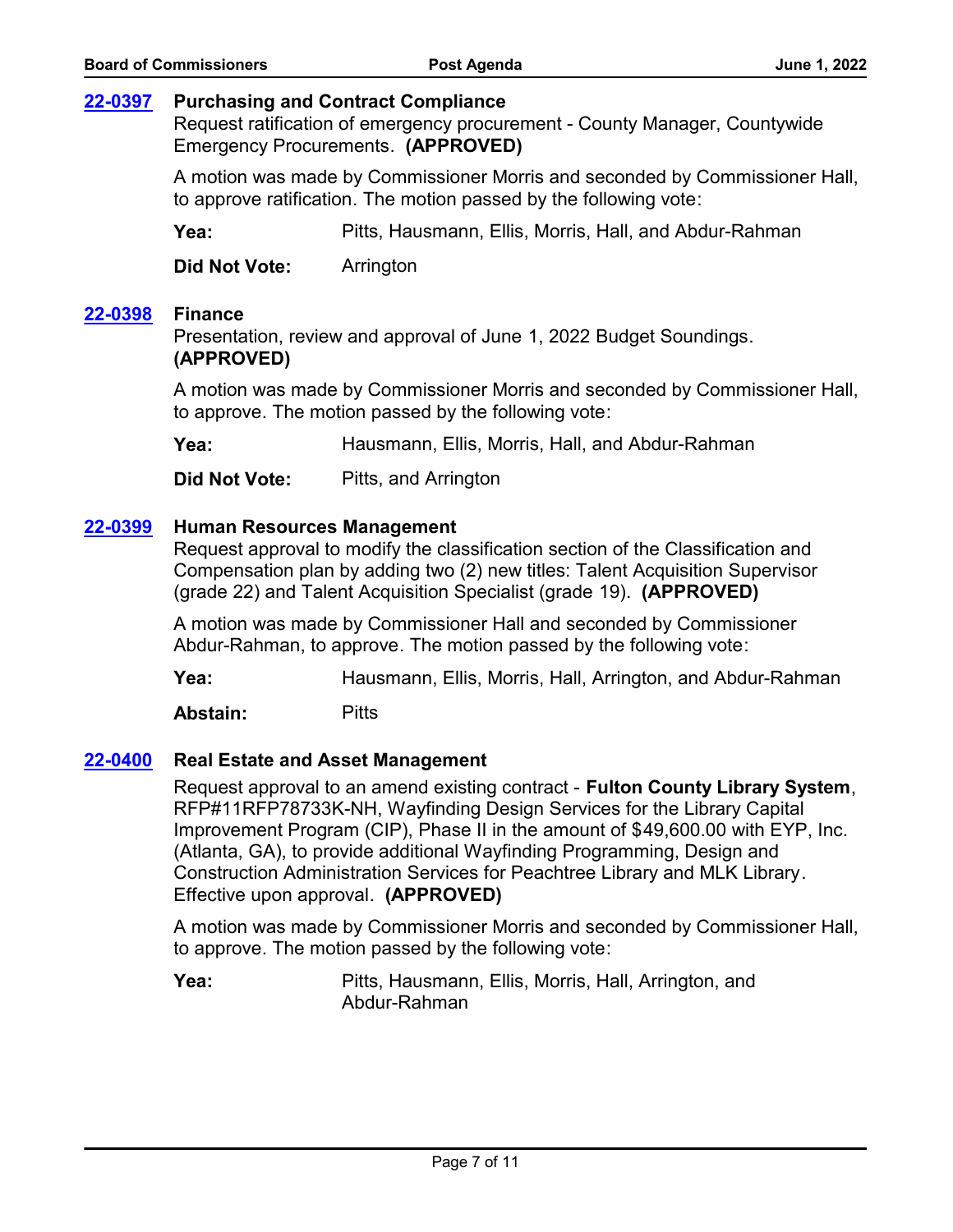## **[22-0397](http://fulton.legistar.com/gateway.aspx?m=l&id=/matter.aspx?key=10892) Purchasing and Contract Compliance**

Request ratification of emergency procurement - County Manager, Countywide Emergency Procurements. **(APPROVED)**

A motion was made by Commissioner Morris and seconded by Commissioner Hall, to approve ratification. The motion passed by the following vote:

**Yea:** Pitts, Hausmann, Ellis, Morris, Hall, and Abdur-Rahman

**Did Not Vote:** Arrington

#### **[22-0398](http://fulton.legistar.com/gateway.aspx?m=l&id=/matter.aspx?key=10457) Finance**

Presentation, review and approval of June 1, 2022 Budget Soundings. **(APPROVED)**

A motion was made by Commissioner Morris and seconded by Commissioner Hall, to approve. The motion passed by the following vote:

**Yea:** Hausmann, Ellis, Morris, Hall, and Abdur-Rahman

**Did Not Vote:** Pitts, and Arrington

## **[22-0399](http://fulton.legistar.com/gateway.aspx?m=l&id=/matter.aspx?key=10872) Human Resources Management**

Request approval to modify the classification section of the Classification and Compensation plan by adding two (2) new titles: Talent Acquisition Supervisor (grade 22) and Talent Acquisition Specialist (grade 19). **(APPROVED)**

A motion was made by Commissioner Hall and seconded by Commissioner Abdur-Rahman, to approve. The motion passed by the following vote:

**Yea:** Hausmann, Ellis, Morris, Hall, Arrington, and Abdur-Rahman

**Abstain:** Pitts

#### **[22-0400](http://fulton.legistar.com/gateway.aspx?m=l&id=/matter.aspx?key=10761) Real Estate and Asset Management**

Request approval to an amend existing contract - **Fulton County Library System**, RFP#11RFP78733K-NH, Wayfinding Design Services for the Library Capital Improvement Program (CIP), Phase II in the amount of \$49,600.00 with EYP, Inc. (Atlanta, GA), to provide additional Wayfinding Programming, Design and Construction Administration Services for Peachtree Library and MLK Library. Effective upon approval. **(APPROVED)**

A motion was made by Commissioner Morris and seconded by Commissioner Hall, to approve. The motion passed by the following vote: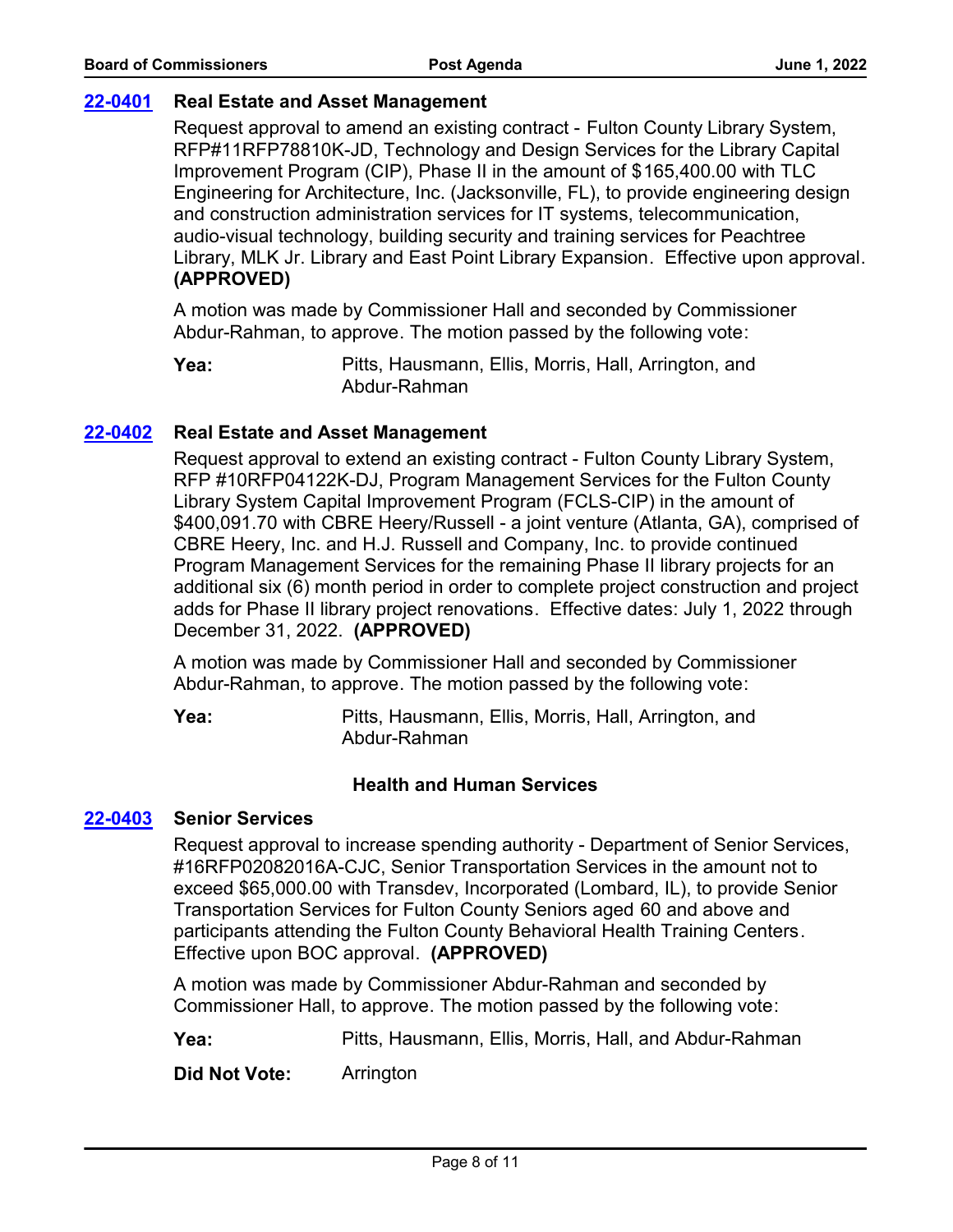# **[22-0401](http://fulton.legistar.com/gateway.aspx?m=l&id=/matter.aspx?key=10800) Real Estate and Asset Management**

Request approval to amend an existing contract - Fulton County Library System, RFP#11RFP78810K-JD, Technology and Design Services for the Library Capital Improvement Program (CIP), Phase II in the amount of \$165,400.00 with TLC Engineering for Architecture, Inc. (Jacksonville, FL), to provide engineering design and construction administration services for IT systems, telecommunication, audio-visual technology, building security and training services for Peachtree Library, MLK Jr. Library and East Point Library Expansion. Effective upon approval. **(APPROVED)**

A motion was made by Commissioner Hall and seconded by Commissioner Abdur-Rahman, to approve. The motion passed by the following vote:

Pitts, Hausmann, Ellis, Morris, Hall, Arrington, and Abdur-Rahman **Yea:**

# **[22-0402](http://fulton.legistar.com/gateway.aspx?m=l&id=/matter.aspx?key=10803) Real Estate and Asset Management**

Request approval to extend an existing contract - Fulton County Library System, RFP #10RFP04122K-DJ, Program Management Services for the Fulton County Library System Capital Improvement Program (FCLS-CIP) in the amount of \$400,091.70 with CBRE Heery/Russell - a joint venture (Atlanta, GA), comprised of CBRE Heery, Inc. and H.J. Russell and Company, Inc. to provide continued Program Management Services for the remaining Phase II library projects for an additional six (6) month period in order to complete project construction and project adds for Phase II library project renovations. Effective dates: July 1, 2022 through December 31, 2022. **(APPROVED)**

A motion was made by Commissioner Hall and seconded by Commissioner Abdur-Rahman, to approve. The motion passed by the following vote:

Pitts, Hausmann, Ellis, Morris, Hall, Arrington, and Abdur-Rahman **Yea:**

# **Health and Human Services**

## **[22-0403](http://fulton.legistar.com/gateway.aspx?m=l&id=/matter.aspx?key=10451) Senior Services**

Request approval to increase spending authority - Department of Senior Services, #16RFP02082016A-CJC, Senior Transportation Services in the amount not to exceed \$65,000.00 with Transdev, Incorporated (Lombard, IL), to provide Senior Transportation Services for Fulton County Seniors aged 60 and above and participants attending the Fulton County Behavioral Health Training Centers. Effective upon BOC approval. **(APPROVED)**

A motion was made by Commissioner Abdur-Rahman and seconded by Commissioner Hall, to approve. The motion passed by the following vote:

**Yea:** Pitts, Hausmann, Ellis, Morris, Hall, and Abdur-Rahman

**Did Not Vote:** Arrington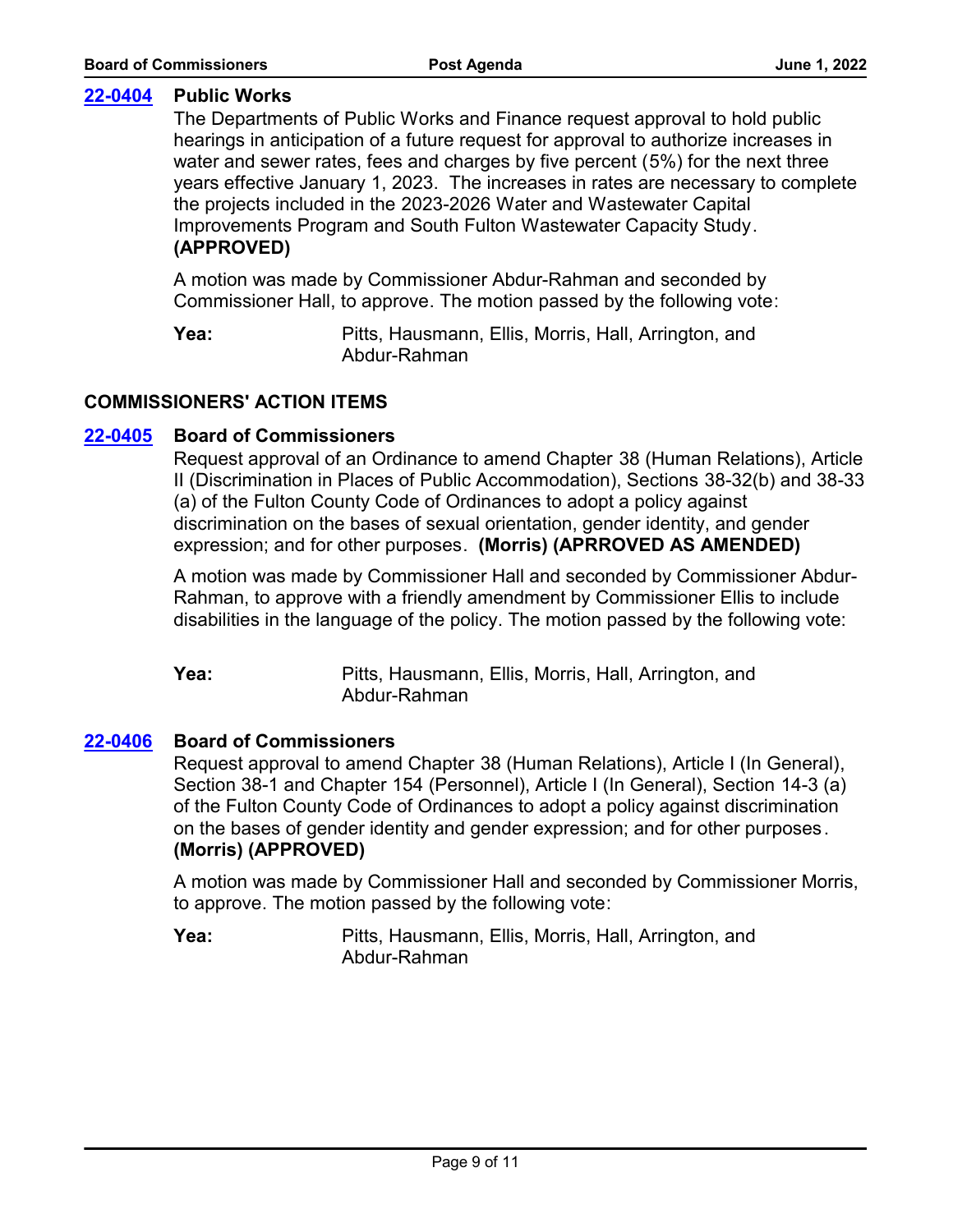# **[22-0404](http://fulton.legistar.com/gateway.aspx?m=l&id=/matter.aspx?key=10870) Public Works**

The Departments of Public Works and Finance request approval to hold public hearings in anticipation of a future request for approval to authorize increases in water and sewer rates, fees and charges by five percent (5%) for the next three years effective January 1, 2023. The increases in rates are necessary to complete the projects included in the 2023-2026 Water and Wastewater Capital Improvements Program and South Fulton Wastewater Capacity Study. **(APPROVED)**

A motion was made by Commissioner Abdur-Rahman and seconded by Commissioner Hall, to approve. The motion passed by the following vote:

Pitts, Hausmann, Ellis, Morris, Hall, Arrington, and Abdur-Rahman **Yea:**

# **COMMISSIONERS' ACTION ITEMS**

# **[22-0405](http://fulton.legistar.com/gateway.aspx?m=l&id=/matter.aspx?key=10899) Board of Commissioners**

Request approval of an Ordinance to amend Chapter 38 (Human Relations), Article II (Discrimination in Places of Public Accommodation), Sections 38-32(b) and 38-33 (a) of the Fulton County Code of Ordinances to adopt a policy against discrimination on the bases of sexual orientation, gender identity, and gender expression; and for other purposes. **(Morris) (APRROVED AS AMENDED)**

A motion was made by Commissioner Hall and seconded by Commissioner Abdur-Rahman, to approve with a friendly amendment by Commissioner Ellis to include disabilities in the language of the policy. The motion passed by the following vote:

Pitts, Hausmann, Ellis, Morris, Hall, Arrington, and Abdur-Rahman **Yea:**

# **[22-0406](http://fulton.legistar.com/gateway.aspx?m=l&id=/matter.aspx?key=10900) Board of Commissioners**

Request approval to amend Chapter 38 (Human Relations), Article I (In General), Section 38-1 and Chapter 154 (Personnel), Article I (In General), Section 14-3 (a) of the Fulton County Code of Ordinances to adopt a policy against discrimination on the bases of gender identity and gender expression; and for other purposes. **(Morris) (APPROVED)**

A motion was made by Commissioner Hall and seconded by Commissioner Morris, to approve. The motion passed by the following vote: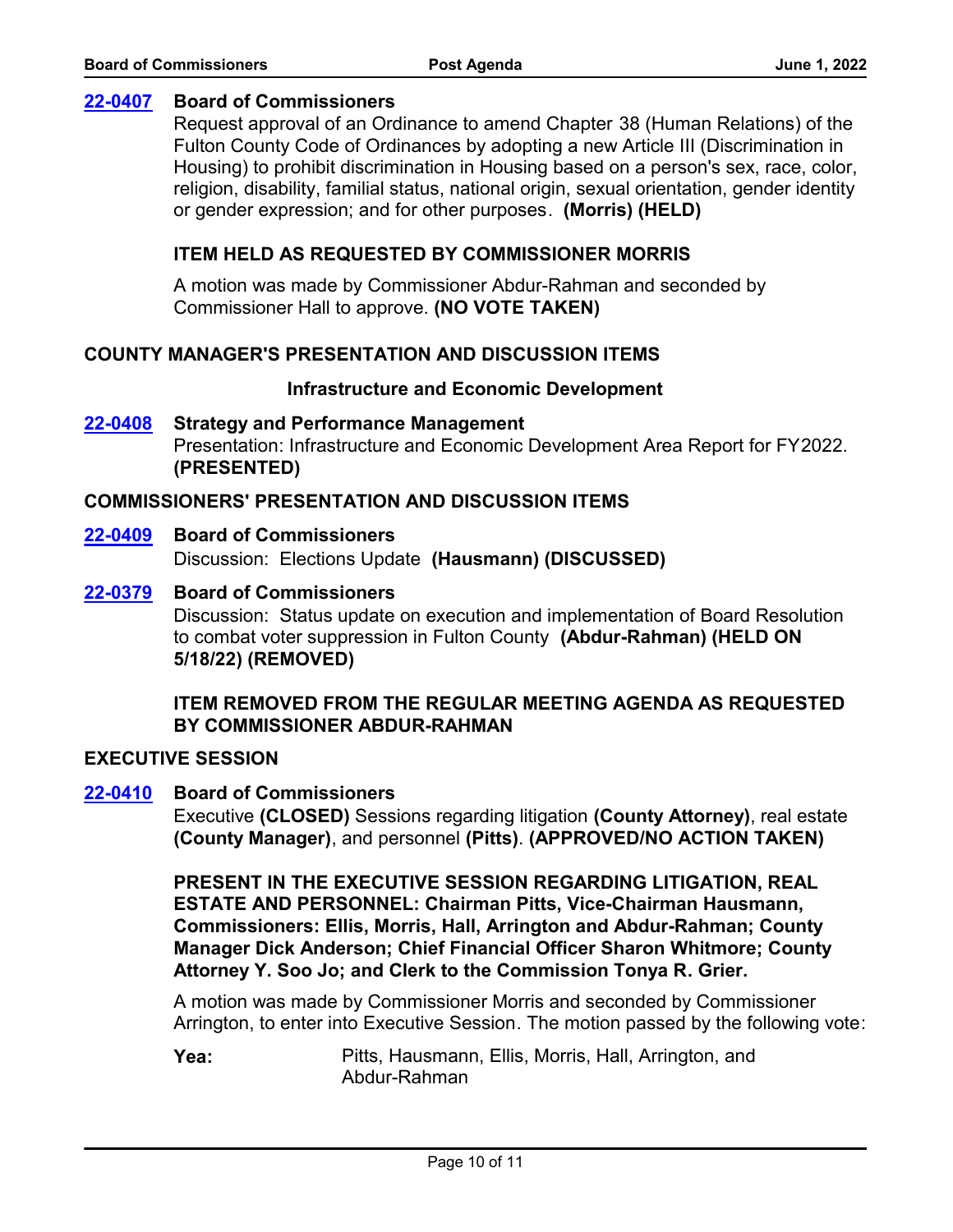## **[22-0407](http://fulton.legistar.com/gateway.aspx?m=l&id=/matter.aspx?key=10901) Board of Commissioners**

Request approval of an Ordinance to amend Chapter 38 (Human Relations) of the Fulton County Code of Ordinances by adopting a new Article III (Discrimination in Housing) to prohibit discrimination in Housing based on a person's sex, race, color, religion, disability, familial status, national origin, sexual orientation, gender identity or gender expression; and for other purposes. **(Morris) (HELD)**

# **ITEM HELD AS REQUESTED BY COMMISSIONER MORRIS**

A motion was made by Commissioner Abdur-Rahman and seconded by Commissioner Hall to approve. **(NO VOTE TAKEN)**

# **COUNTY MANAGER'S PRESENTATION AND DISCUSSION ITEMS**

#### **Infrastructure and Economic Development**

Presentation: Infrastructure and Economic Development Area Report for FY2022. **(PRESENTED) [22-0408](http://fulton.legistar.com/gateway.aspx?m=l&id=/matter.aspx?key=10819) Strategy and Performance Management**

# **COMMISSIONERS' PRESENTATION AND DISCUSSION ITEMS**

# **[22-0409](http://fulton.legistar.com/gateway.aspx?m=l&id=/matter.aspx?key=10902) Board of Commissioners**

Discussion: Elections Update **(Hausmann) (DISCUSSED)**

# **[22-0379](http://fulton.legistar.com/gateway.aspx?m=l&id=/matter.aspx?key=10845) Board of Commissioners**

Discussion: Status update on execution and implementation of Board Resolution to combat voter suppression in Fulton County **(Abdur-Rahman) (HELD ON 5/18/22) (REMOVED)**

# **ITEM REMOVED FROM THE REGULAR MEETING AGENDA AS REQUESTED BY COMMISSIONER ABDUR-RAHMAN**

## **EXECUTIVE SESSION**

# **[22-0410](http://fulton.legistar.com/gateway.aspx?m=l&id=/matter.aspx?key=10886) Board of Commissioners**

Executive **(CLOSED)** Sessions regarding litigation **(County Attorney)**, real estate **(County Manager)**, and personnel **(Pitts)**. **(APPROVED/NO ACTION TAKEN)**

**PRESENT IN THE EXECUTIVE SESSION REGARDING LITIGATION, REAL ESTATE AND PERSONNEL: Chairman Pitts, Vice-Chairman Hausmann, Commissioners: Ellis, Morris, Hall, Arrington and Abdur-Rahman; County Manager Dick Anderson; Chief Financial Officer Sharon Whitmore; County Attorney Y. Soo Jo; and Clerk to the Commission Tonya R. Grier.**

A motion was made by Commissioner Morris and seconded by Commissioner Arrington, to enter into Executive Session. The motion passed by the following vote: